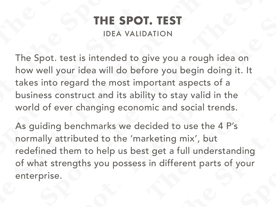## **THE SPOT. TEST**

#### IDEA VALIDATION

The Spot. test is intended to give you a rough idea on how well your idea will do before you begin doing it. It takes into regard the most important aspects of a business construct and its ability to stay valid in the world of ever changing economic and social trends.

As guiding benchmarks we decided to use the 4 P's normally attributed to the 'marketing mix', but redefined them to help us best get a full understanding of what strengths you possess in different parts of your enterprise.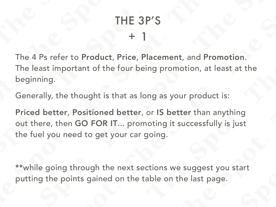# + 1 THE 3P'S

The 4 Ps refer to Product, Price, Placement, and Promotion. The least important of the four being promotion, at least at the beginning.

Generally, the thought is that as long as your product is:

Priced better, Positioned better, or IS better than anything out there, then GO FOR IT... promoting it successfully is just the fuel you need to get your car going.

\*\*while going through the next sections we suggest you start putting the points gained on the table on the last page.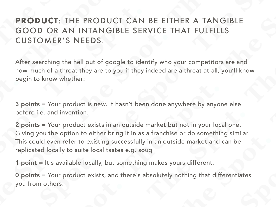## **PRODUCT**: THE PRODUCT CAN BE EITHER A TANGIBLE GOOD OR AN INTANGIBLE SERVICE THAT FULFILLS CUSTOMER'S NEEDS.

After searching the hell out of google to identify who your competitors are and how much of a threat they are to you if they indeed are a threat at all, you'll know begin to know whether:

3 points = Your product is new. It hasn't been done anywhere by anyone else before i.e. and invention.

2 points = Your product exists in an outside market but not in your local one. Giving you the option to either bring it in as a franchise or do something similar. This could even refer to existing successfully in an outside market and can be replicated locally to suite local tastes e.g. souq

1 point = It's available locally, but something makes yours different.

0 points = Your product exists, and there's absolutely nothing that differentiates you from others.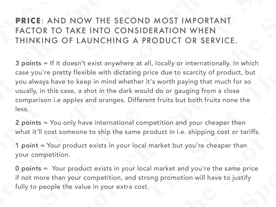## **PRICE**: AND NOW THE SECOND MOST IMPORTANT FACTOR TO TAKE INTO CONSIDERATION WHEN THINKING OF LAUNCHING A PRODUCT OR SERVICE.

3 points = If it doesn't exist anywhere at all, locally or internationally. In which case you're pretty flexible with dictating price due to scarcity of product, but you always have to keep in mind whether it's worth paying that much for so usually, in this case, a shot in the dark would do or gauging from a close comparison i.e apples and oranges. Different fruits but both fruits none the less.

2 points = You only have international competition and your cheaper then what it'll cost someone to ship the same product in i.e. shipping cost or tariffs.

1 point = Your product exists in your local market but you're cheaper than your competition.

0 points = Your product exists in your local market and you're the same price if not more than your competition, and strong promotion will have to justify fully to people the value in your extra cost.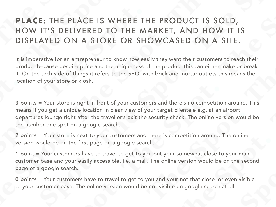## **PLACE**: THE PLACE IS WHERE THE PRODUCT IS SOLD, HOW IT'S DELIVERED TO THE MARKET, AND HOW IT IS DISPLAYED ON A STORE OR SHOWCASED ON A SITE.

It is imperative for an entrepreneur to know how easily they want their customers to reach their product because despite price and the uniqueness of the product this can either make or break it. On the tech side of things it refers to the SEO, with brick and mortar outlets this means the location of your store or kiosk.

3 points = Your store is right in front of your customers and there's no competition around. This means if you get a unique location in clear view of your target clientele e.g. at an airport departures lounge right after the traveller's exit the security check. The online version would be the number one spot on a google search.

2 points = Your store is next to your customers and there is competition around. The online version would be on the first page on a google search.

1 point = Your customers have to travel to get to you but your somewhat close to your main customer base and your easily accessible. i.e. a mall. The online version would be on the second page of a google search.

0 points = Your customers have to travel to get to you and your not that close or even visible to your customer base. The online version would be not visible on google search at all.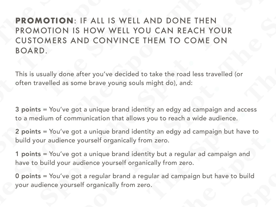**PROMOTION**: IF ALL IS WELL AND DONE THEN PROMOTION IS HOW WELL YOU CAN REACH YOUR CUSTOMERS AND CONVINCE THEM TO COME ON BOARD.

This is usually done after you've decided to take the road less travelled (or often travelled as some brave young souls might do), and:

3 points = You've got a unique brand identity an edgy ad campaign and access to a medium of communication that allows you to reach a wide audience.

2 points = You've got a unique brand identity an edgy ad campaign but have to build your audience yourself organically from zero.

1 points = You've got a unique brand identity but a regular ad campaign and have to build your audience yourself organically from zero.

0 points = You've got a regular brand a regular ad campaign but have to build your audience yourself organically from zero.